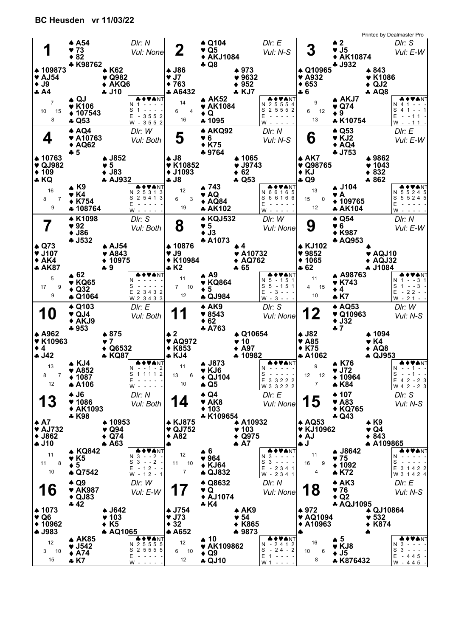